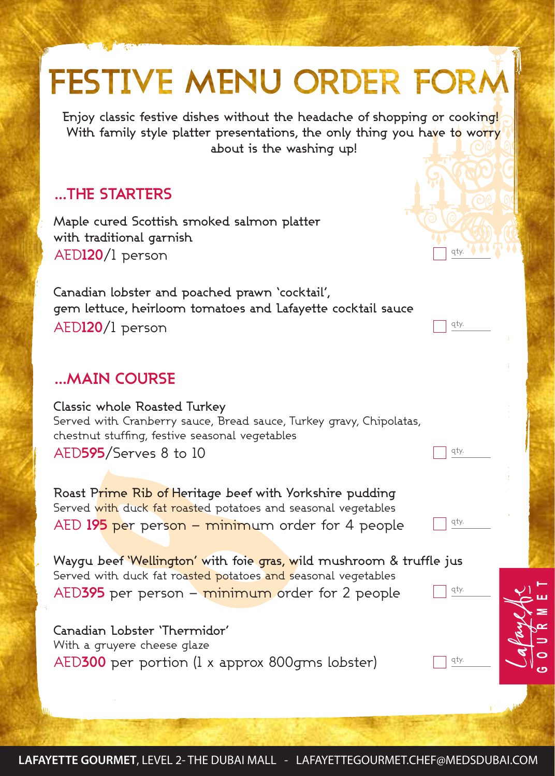## FESTIVE MENU ORDER FORM Enjoy classic festive dishes without the headache of shopping or cooking! With family style platter presentations, the only thing you have to worry about is the washing up! **…THE STARTERS**Maple cured Scottish smoked salmon platter with traditional garnish AED**120**/1 person qty. Canadian lobster and poached prawn 'cocktail', gem lettuce, heirloom tomatoes and Lafayette cocktail sauce AED**120**/1 person qty. **…MAIN COURSE** Classic whole Roasted Turkey Served with Cranberry sauce, Bread sauce, Turkey gravy, Chipolatas, chestnut stuffing, festive seasonal vegetables AED**595**/Serves 8 to 10 1 qty. Roast Prime Rib of Heritage beef with Yorkshire pudding Served with duck fat roasted potatoes and seasonal vegetables AED **195** per person – minimum order for 4 people qty. Waygu beef 'Wellington' with foie gras, wild mushroom & truffle just Served with duck fat roasted potatoes and seasonal vegetables qty. AED**395** per person – minimum order for 2 people Canadian Lobster 'Thermidor' With a gruyere cheese glaze qty. AED**300** per portion (1 x approx 800gms lobster)